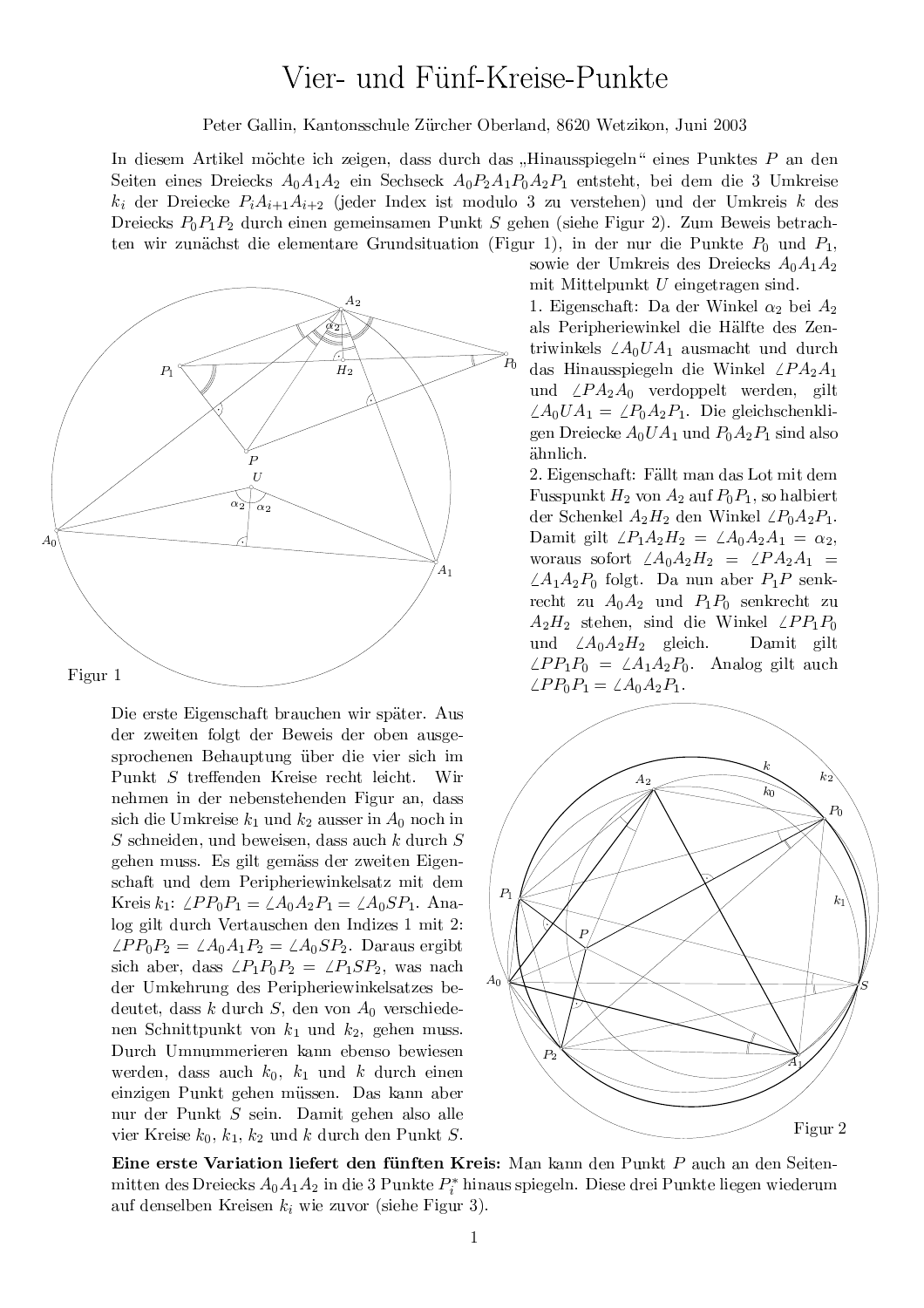## Vier- und Fünf-Kreise-Punkte

Peter Gallin, Kantonsschule Zürcher Oberland, 8620 Wetzikon, Juni 2003

In diesem Artikel möchte ich zeigen, dass durch das "Hinausspiegeln" eines Punktes P an den Seiten eines Dreiecks  $A_0A_1A_2$  ein Sechseck  $A_0P_2A_1P_0A_2P_1$  entsteht, bei dem die 3 Umkreise  $k_i$  der Dreiecke  $P_iA_{i+1}A_{i+2}$  (jeder Index ist modulo 3 zu verstehen) und der Umkreis k des Dreiecks  $P_0P_1P_2$  durch einen gemeinsamen Punkt S gehen (siehe Figur 2). Zum Beweis betrachten wir zunächst die elementare Grundsituation (Figur 1), in der nur die Punkte  $P_0$  und  $P_1$ ,



Die erste Eigenschaft brauchen wir später. Aus der zweiten folgt der Beweis der oben ausgesprochenen Behauptung über die vier sich im Punkt  $S$  treffenden Kreise recht leicht. Wir nehmen in der nebenstehenden Figur an, dass sich die Umkreise  $k_1$  und  $k_2$  ausser in  $A_0$  noch in  $S$  schneiden, und beweisen, dass auch  $k$  durch  $S$ gehen muss. Es gilt gemäss der zweiten Eigenschaft und dem Peripheriewinkelsatz mit dem Kreis  $k_1$ :  $\angle PP_0P_1 = \angle A_0A_2P_1 = \angle A_0SP_1$ . Analog gilt durch Vertauschen den Indizes 1 mit 2:  $\angle PP_0P_2 = \angle A_0A_1P_2 = \angle A_0SP_2$ . Daraus ergibt sich aber, dass  $\angle P_1 P_0 P_2 = \angle P_1 S P_2$ , was nach der Umkehrung des Peripheriewinkelsatzes bedeutet, dass k durch  $S$ , den von  $A_0$  verschiedenen Schnittpunkt von  $k_1$  und  $k_2$ , gehen muss. Durch Umnummerieren kann ebenso bewiesen werden, dass auch  $k_0$ ,  $k_1$  und k durch einen einzigen Punkt gehen müssen. Das kann aber nur der Punkt S sein. Damit gehen also alle vier Kreise  $k_0, k_1, k_2$  und k durch den Punkt S. sowie der Umkreis des Dreiecks  $A_0A_1A_2$ mit Mittelpunkt  $U$  eingetragen sind.

1. Eigenschaft: Da der Winkel  $\alpha_2$  bei  $A_2$ als Peripheriewinkel die Hälfte des Zentriwinkels  $\angle A_0 U A_1$  ausmacht und durch das Hinausspiegeln die Winkel  $\angle PA_2A_1$ und  $\angle PA_2A_0$  verdoppelt werden, gilt  $\angle A_0 U A_1 = \angle P_0 A_2 P_1$ . Die gleichschenkligen Dreiecke  $A_0 U A_1$  und  $P_0 A_2 P_1$  sind also ähnlich.

2. Eigenschaft: Fällt man das Lot mit dem Fusspunkt  $H_2$  von  $A_2$  auf  $P_0P_1$ , so halbiert der Schenkel  $A_2H_2$  den Winkel  $\angle P_0A_2P_1$ . Damit gilt  $\angle P_1 A_2 H_2 = \angle A_0 A_2 A_1 = \alpha_2$ , woraus sofort  $\angle A_0 A_2 H_2 = \angle P A_2 A_1 =$  $\angle A_1 A_2 P_0$  folgt. Da nun aber  $P_1 P$  senkrecht zu  $A_0A_2$  und  $P_1P_0$  senkrecht zu  $A_2H_2$  stehen, sind die Winkel  $\angle PP_1P_0$ Damit gilt und  $\angle A_0 A_2 H_2$  gleich.  $\angle PP_1P_0 = \angle A_1A_2P_0$ . Analog gilt auch  $\angle PP_0P_1 = \angle A_0A_2P_1.$ 



Eine erste Variation liefert den fünften Kreis: Man kann den Punkt P auch an den Seitenmitten des Dreiecks  $A_0A_1A_2$  in die 3 Punkte  $P_i^*$  hinaus spiegeln. Diese drei Punkte liegen wiederum auf denselben Kreisen  $k_i$  wie zuvor (siehe Figur 3).